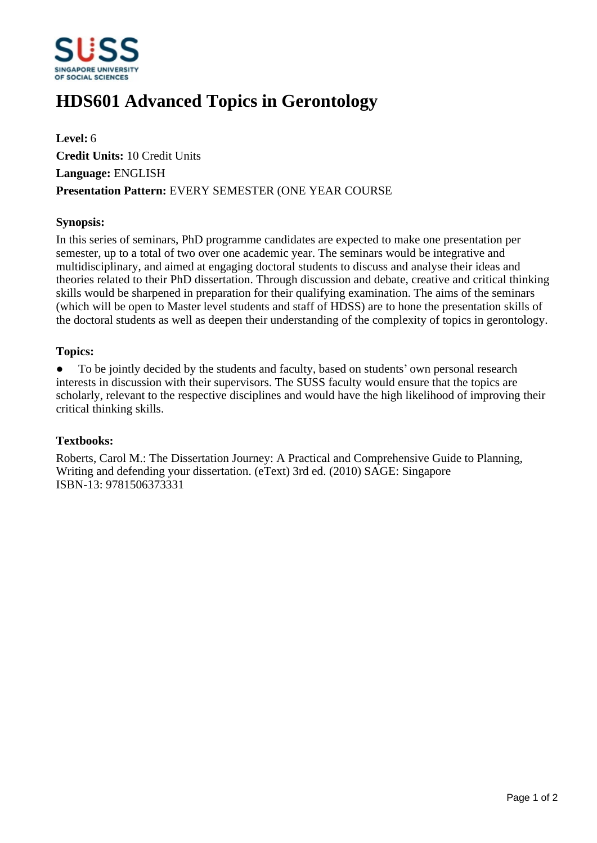

# **HDS601 Advanced Topics in Gerontology**

**Level:** 6 **Credit Units:** 10 Credit Units **Language:** ENGLISH **Presentation Pattern:** EVERY SEMESTER (ONE YEAR COURSE

### **Synopsis:**

In this series of seminars, PhD programme candidates are expected to make one presentation per semester, up to a total of two over one academic year. The seminars would be integrative and multidisciplinary, and aimed at engaging doctoral students to discuss and analyse their ideas and theories related to their PhD dissertation. Through discussion and debate, creative and critical thinking skills would be sharpened in preparation for their qualifying examination. The aims of the seminars (which will be open to Master level students and staff of HDSS) are to hone the presentation skills of the doctoral students as well as deepen their understanding of the complexity of topics in gerontology.

#### **Topics:**

• To be jointly decided by the students and faculty, based on students' own personal research interests in discussion with their supervisors. The SUSS faculty would ensure that the topics are scholarly, relevant to the respective disciplines and would have the high likelihood of improving their critical thinking skills.

#### **Textbooks:**

Roberts, Carol M.: The Dissertation Journey: A Practical and Comprehensive Guide to Planning, Writing and defending your dissertation. (eText) 3rd ed. (2010) SAGE: Singapore ISBN-13: 9781506373331